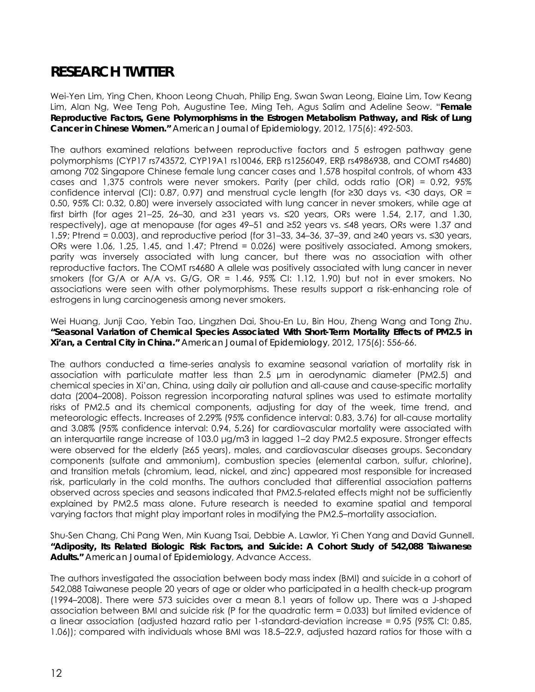## **RESEARCH TWITTER**

Wei-Yen Lim, Ying Chen, Khoon Leong Chuah, Philip Eng, Swan Swan Leong, Elaine Lim, Tow Keang Lim, Alan Ng, Wee Teng Poh, Augustine Tee, Ming Teh, Agus Salim and Adeline Seow. "**Female Reproductive Factors, Gene Polymorphisms in the Estrogen Metabolism Pathway, and Risk of Lung Cancer in Chinese Women."** *American Journal of Epidemiology*, 2012, 175(6): 492-503.

The authors examined relations between reproductive factors and 5 estrogen pathway gene polymorphisms (CYP17 rs743572, CYP19A1 rs10046, ERβ rs1256049, ERβ rs4986938, and COMT rs4680) among 702 Singapore Chinese female lung cancer cases and 1,578 hospital controls, of whom 433 cases and 1,375 controls were never smokers. Parity (per child, odds ratio (OR) = 0.92, 95% confidence interval (CI): 0.87, 0.97) and menstrual cycle length (for ≥30 days vs. <30 days, OR = 0.50, 95% CI: 0.32, 0.80) were inversely associated with lung cancer in never smokers, while age at first birth (for ages 21–25, 26–30, and ≥31 years vs. ≤20 years, ORs were 1.54, 2.17, and 1.30, respectively), age at menopause (for ages 49–51 and ≥52 years vs. ≤48 years, ORs were 1.37 and 1.59; Ptrend = 0.003), and reproductive period (for 31–33, 34–36, 37–39, and ≥40 years vs. ≤30 years, ORs were 1.06, 1.25, 1.45, and 1.47; Ptrend = 0.026) were positively associated. Among smokers, parity was inversely associated with lung cancer, but there was no association with other reproductive factors. The COMT rs4680 A allele was positively associated with lung cancer in never smokers (for G/A or A/A vs. G/G, OR = 1.46, 95% CI: 1.12, 1.90) but not in ever smokers. No associations were seen with other polymorphisms. These results support a risk-enhancing role of estrogens in lung carcinogenesis among never smokers.

Wei Huang, Junji Cao, Yebin Tao, Lingzhen Dai, Shou-En Lu, Bin Hou, Zheng Wang and Tong Zhu. **"Seasonal Variation of Chemical Species Associated With Short-Term Mortality Effects of PM2.5 in Xi'an, a Central City in China."** *American Journal of Epidemiology*, 2012, 175(6): 556-66.

The authors conducted a time-series analysis to examine seasonal variation of mortality risk in association with particulate matter less than 2.5 μm in aerodynamic diameter (PM2.5) and chemical species in Xi'an, China, using daily air pollution and all-cause and cause-specific mortality data (2004–2008). Poisson regression incorporating natural splines was used to estimate mortality risks of PM2.5 and its chemical components, adjusting for day of the week, time trend, and meteorologic effects. Increases of 2.29% (95% confidence interval: 0.83, 3.76) for all-cause mortality and 3.08% (95% confidence interval: 0.94, 5.26) for cardiovascular mortality were associated with an interquartile range increase of 103.0 μg/m3 in lagged 1–2 day PM2.5 exposure. Stronger effects were observed for the elderly (≥65 years), males, and cardiovascular diseases groups. Secondary components (sulfate and ammonium), combustion species (elemental carbon, sulfur, chlorine), and transition metals (chromium, lead, nickel, and zinc) appeared most responsible for increased risk, particularly in the cold months. The authors concluded that differential association patterns observed across species and seasons indicated that PM2.5-related effects might not be sufficiently explained by PM2.5 mass alone. Future research is needed to examine spatial and temporal varying factors that might play important roles in modifying the PM2.5–mortality association.

Shu-Sen Chang, Chi Pang Wen, Min Kuang Tsai, Debbie A. Lawlor, Yi Chen Yang and David Gunnell. **"Adiposity, Its Related Biologic Risk Factors, and Suicide: A Cohort Study of 542,088 Taiwanese Adults."** *American Journal of Epidemiology*, Advance Access.

The authors investigated the association between body mass index (BMI) and suicide in a cohort of 542,088 Taiwanese people 20 years of age or older who participated in a health check-up program (1994–2008). There were 573 suicides over a mean 8.1 years of follow up. There was a J-shaped association between BMI and suicide risk (P for the quadratic term = 0.033) but limited evidence of a linear association (adjusted hazard ratio per 1-standard-deviation increase = 0.95 (95% CI: 0.85, 1.06)); compared with individuals whose BMI was 18.5–22.9, adjusted hazard ratios for those with a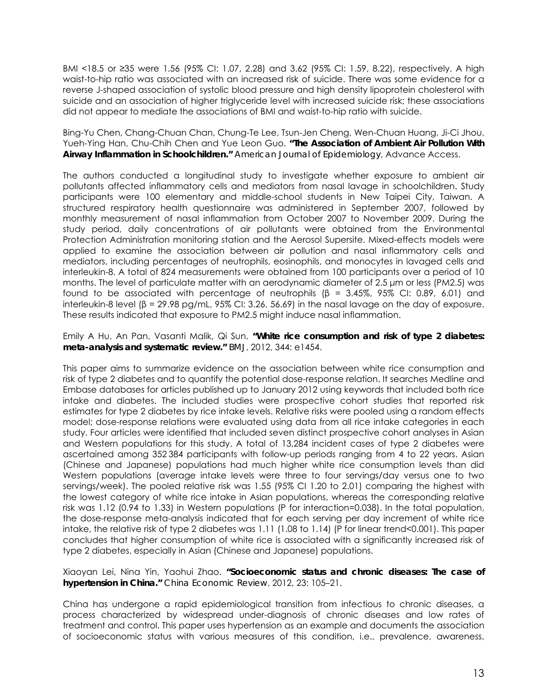BMI <18.5 or ≥35 were 1.56 (95% CI: 1.07, 2.28) and 3.62 (95% CI: 1.59, 8.22), respectively. A high waist-to-hip ratio was associated with an increased risk of suicide. There was some evidence for a reverse J-shaped association of systolic blood pressure and high density lipoprotein cholesterol with suicide and an association of higher triglyceride level with increased suicide risk; these associations did not appear to mediate the associations of BMI and waist-to-hip ratio with suicide.

Bing-Yu Chen, Chang-Chuan Chan, Chung-Te Lee, Tsun-Jen Cheng, Wen-Chuan Huang, Ji-Ci Jhou, Yueh-Ying Han, Chu-Chih Chen and Yue Leon Guo. **"The Association of Ambient Air Pollution With Airway Inflammation in Schoolchildren."** *American Journal of Epidemiology*, Advance Access.

The authors conducted a longitudinal study to investigate whether exposure to ambient air pollutants affected inflammatory cells and mediators from nasal lavage in schoolchildren. Study participants were 100 elementary and middle-school students in New Taipei City, Taiwan. A structured respiratory health questionnaire was administered in September 2007, followed by monthly measurement of nasal inflammation from October 2007 to November 2009. During the study period, daily concentrations of air pollutants were obtained from the Environmental Protection Administration monitoring station and the Aerosol Supersite. Mixed-effects models were applied to examine the association between air pollution and nasal inflammatory cells and mediators, including percentages of neutrophils, eosinophils, and monocytes in lavaged cells and interleukin-8. A total of 824 measurements were obtained from 100 participants over a period of 10 months. The level of particulate matter with an aerodynamic diameter of 2.5 μm or less (PM2.5) was found to be associated with percentage of neutrophils  $\beta$  = 3.45%, 95% CI: 0.89, 6.01) and interleukin-8 level (β = 29.98 pg/mL, 95% CI: 3.26, 56.69) in the nasal lavage on the day of exposure. These results indicated that exposure to PM2.5 might induce nasal inflammation.

Emily A Hu, An Pan, Vasanti Malik, Qi Sun. **"White rice consumption and risk of type 2 diabetes: meta-analysis and systematic review."** *BMJ*, 2012, 344: e1454.

This paper aims to summarize evidence on the association between white rice consumption and risk of type 2 diabetes and to quantify the potential dose-response relation. It searches Medline and Embase databases for articles published up to January 2012 using keywords that included both rice intake and diabetes. The included studies were prospective cohort studies that reported risk estimates for type 2 diabetes by rice intake levels. Relative risks were pooled using a random effects model; dose-response relations were evaluated using data from all rice intake categories in each study. Four articles were identified that included seven distinct prospective cohort analyses in Asian and Western populations for this study. A total of 13,284 incident cases of type 2 diabetes were ascertained among 352 384 participants with follow-up periods ranging from 4 to 22 years. Asian (Chinese and Japanese) populations had much higher white rice consumption levels than did Western populations (average intake levels were three to four servings/day versus one to two servings/week). The pooled relative risk was 1.55 (95% CI 1.20 to 2.01) comparing the highest with the lowest category of white rice intake in Asian populations, whereas the corresponding relative risk was 1.12 (0.94 to 1.33) in Western populations (P for interaction=0.038). In the total population, the dose-response meta-analysis indicated that for each serving per day increment of white rice intake, the relative risk of type 2 diabetes was 1.11 (1.08 to 1.14) (P for linear trend<0.001). This paper concludes that higher consumption of white rice is associated with a significantly increased risk of type 2 diabetes, especially in Asian (Chinese and Japanese) populations.

Xiaoyan Lei, Nina Yin, Yaohui Zhao. **"Socioeconomic status and chronic diseases: The case of hypertension in China."** *China Economic Review*, 2012, 23: 105–21.

China has undergone a rapid epidemiological transition from infectious to chronic diseases, a process characterized by widespread under-diagnosis of chronic diseases and low rates of treatment and control. This paper uses hypertension as an example and documents the association of socioeconomic status with various measures of this condition, i.e., prevalence, awareness,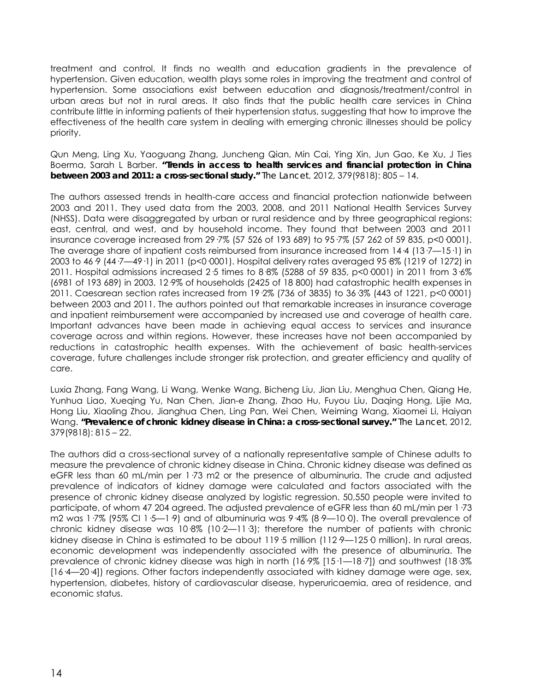treatment and control. It finds no wealth and education gradients in the prevalence of hypertension. Given education, wealth plays some roles in improving the treatment and control of hypertension. Some associations exist between education and diagnosis/treatment/control in urban areas but not in rural areas. It also finds that the public health care services in China contribute little in informing patients of their hypertension status, suggesting that how to improve the effectiveness of the health care system in dealing with emerging chronic illnesses should be policy priority.

Qun Meng, Ling Xu, Yaoguang Zhang, Juncheng Qian, Min Cai, Ying Xin, Jun Gao, Ke Xu, J Ties Boerma, Sarah L Barber. **"Trends in access to health services and financial protection in China between 2003 and 2011: a cross-sectional study."** *The Lancet*, 2012, 379(9818): 805 – 14.

The authors assessed trends in health-care access and financial protection nationwide between 2003 and 2011. They used data from the 2003, 2008, and 2011 National Health Services Survey (NHSS). Data were disaggregated by urban or rural residence and by three geographical regions: east, central, and west, and by household income. They found that between 2003 and 2011 insurance coverage increased from 29·7% (57 526 of 193 689) to 95·7% (57 262 of 59 835, p<0·0001). The average share of inpatient costs reimbursed from insurance increased from 14·4 (13·7—15·1) in 2003 to 46·9 (44·7—49·1) in 2011 (p<0·0001). Hospital delivery rates averaged 95·8% (1219 of 1272) in 2011. Hospital admissions increased 2·5 times to 8·8% (5288 of 59 835, p<0·0001) in 2011 from 3·6% (6981 of 193 689) in 2003. 12·9% of households (2425 of 18 800) had catastrophic health expenses in 2011. Caesarean section rates increased from 19·2% (736 of 3835) to 36·3% (443 of 1221, p<0·0001) between 2003 and 2011. The authors pointed out that remarkable increases in insurance coverage and inpatient reimbursement were accompanied by increased use and coverage of health care. Important advances have been made in achieving equal access to services and insurance coverage across and within regions. However, these increases have not been accompanied by reductions in catastrophic health expenses. With the achievement of basic health-services coverage, future challenges include stronger risk protection, and greater efficiency and quality of care.

Luxia Zhang, Fang Wang, Li Wang, Wenke Wang, Bicheng Liu, Jian Liu, Menghua Chen, Qiang He, Yunhua Liao, Xueqing Yu, Nan Chen, Jian-e Zhang, Zhao Hu, Fuyou Liu, Daqing Hong, Lijie Ma, Hong Liu, Xiaoling Zhou, Jianghua Chen, Ling Pan, Wei Chen, Weiming Wang, Xiaomei Li, Haiyan Wang. **"Prevalence of chronic kidney disease in China: a cross-sectional survey."** *The Lancet*, 2012, 379(9818): 815 – 22.

The authors did a cross-sectional survey of a nationally representative sample of Chinese adults to measure the prevalence of chronic kidney disease in China. Chronic kidney disease was defined as eGFR less than 60 mL/min per 1·73 m2 or the presence of albuminuria. The crude and adjusted prevalence of indicators of kidney damage were calculated and factors associated with the presence of chronic kidney disease analyzed by logistic regression. 50,550 people were invited to participate, of whom 47 204 agreed. The adjusted prevalence of eGFR less than 60 mL/min per 1·73 m2 was 1.7% (95% CI 1.5-1.9) and of albuminuria was 9.4% (8.9-10.0). The overall prevalence of chronic kidney disease was 10·8% (10·2—11·3); therefore the number of patients with chronic kidney disease in China is estimated to be about 119:5 million (112:9—1250 million). In rural areas, economic development was independently associated with the presence of albuminuria. The prevalence of chronic kidney disease was high in north (16·9% [15·1—18·7]) and southwest (18·3% [16·4—20·4]) regions. Other factors independently associated with kidney damage were age, sex, hypertension, diabetes, history of cardiovascular disease, hyperuricaemia, area of residence, and economic status.